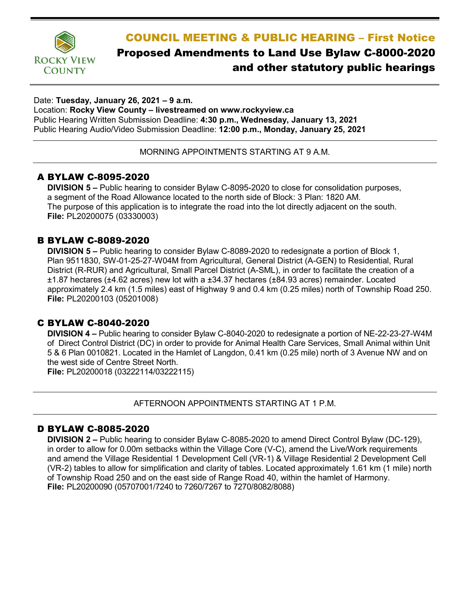

# COUNCIL MEETING & PUBLIC HEARING – First Notice Proposed Amendments to Land Use Bylaw C-8000-2020 and other statutory public hearings

#### Date: **Tuesday, January 26, 2021 – 9 a.m.**

Location: **Rocky View County – livestreamed on www.rockyview.ca** Public Hearing Written Submission Deadline: **4:30 p.m., Wednesday, January 13, 2021** Public Hearing Audio/Video Submission Deadline: **12:00 p.m., Monday, January 25, 2021**

MORNING APPOINTMENTS STARTING AT 9 A.M.

# A BYLAW C-8095-2020

**DIVISION 5 –** Public hearing to consider Bylaw C-8095-2020 to close for consolidation purposes, a segment of the Road Allowance located to the north side of Block: 3 Plan: 1820 AM. The purpose of this application is to integrate the road into the lot directly adjacent on the south. **File:** PL20200075 (03330003)

# B BYLAW C-8089-2020

**DIVISION 5 –** Public hearing to consider Bylaw C-8089-2020 to redesignate a portion of Block 1, Plan 9511830, SW-01-25-27-W04M from Agricultural, General District (A-GEN) to Residential, Rural District (R-RUR) and Agricultural, Small Parcel District (A-SML), in order to facilitate the creation of a ±1.87 hectares (±4.62 acres) new lot with a ±34.37 hectares (±84.93 acres) remainder. Located approximately 2.4 km (1.5 miles) east of Highway 9 and 0.4 km (0.25 miles) north of Township Road 250. **File:** PL20200103 (05201008)

# C BYLAW C-8040-2020

**DIVISION 4 –** Public hearing to consider Bylaw C-8040-2020 to redesignate a portion of NE-22-23-27-W4M of Direct Control District (DC) in order to provide for Animal Health Care Services, Small Animal within Unit 5 & 6 Plan 0010821. Located in the Hamlet of Langdon, 0.41 km (0.25 mile) north of 3 Avenue NW and on the west side of Centre Street North.

**File:** PL20200018 (03222114/03222115)

AFTERNOON APPOINTMENTS STARTING AT 1 P.M.

### D BYLAW C-8085-2020

**DIVISION 2 –** Public hearing to consider Bylaw C-8085-2020 to amend Direct Control Bylaw (DC-129), in order to allow for 0.00m setbacks within the Village Core (V-C), amend the Live/Work requirements and amend the Village Residential 1 Development Cell (VR-1) & Village Residential 2 Development Cell (VR-2) tables to allow for simplification and clarity of tables. Located approximately 1.61 km (1 mile) north of Township Road 250 and on the east side of Range Road 40, within the hamlet of Harmony. **File:** PL20200090 (05707001/7240 to 7260/7267 to 7270/8082/8088)